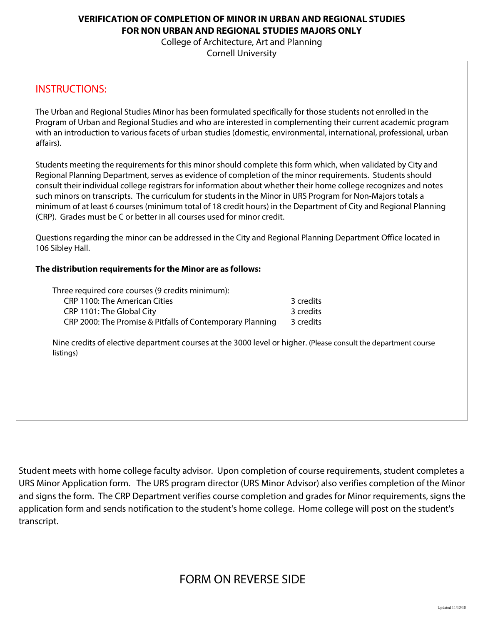### **VERIFICATION OF COMPLETION OF MINOR IN URBAN AND REGIONAL STUDIES FOR NON URBAN AND REGIONAL STUDIES MAJORS ONLY**

College of Architecture, Art and Planning

Cornell University

# INSTRUCTIONS:

The Urban and Regional Studies Minor has been formulated specifically for those students not enrolled in the Program of Urban and Regional Studies and who are interested in complementing their current academic program with an introduction to various facets of urban studies (domestic, environmental, international, professional, urban affairs).

Students meeting the requirements for this minor should complete this form which, when validated by City and Regional Planning Department, serves as evidence of completion of the minor requirements. Students should consult their individual college registrars for information about whether their home college recognizes and notes such minors on transcripts. The curriculum for students in the Minor in URS Program for Non-Majors totals a minimum of at least 6 courses (minimum total of 18 credit hours) in the Department of City and Regional Planning (CRP). Grades must be C or better in all courses used for minor credit.

Questions regarding the minor can be addressed in the City and Regional Planning Department Office located in 106 Sibley Hall.

### **The distribution requirements for the Minor are as follows:**

| Three required core courses (9 credits minimum):          |           |
|-----------------------------------------------------------|-----------|
| CRP 1100: The American Cities                             | 3 credits |
| CRP 1101: The Global City                                 | 3 credits |
| CRP 2000: The Promise & Pitfalls of Contemporary Planning | 3 credits |

Nine credits of elective department courses at the 3000 level or higher. (Please consult the department course listings)

Student meets with home college faculty advisor. Upon completion of course requirements, student completes a URS Minor Application form. The URS program director (URS Minor Advisor) also verifies completion of the Minor and signs the form. The CRP Department verifies course completion and grades for Minor requirements, signs the application form and sends notification to the student's home college. Home college will post on the student's transcript.